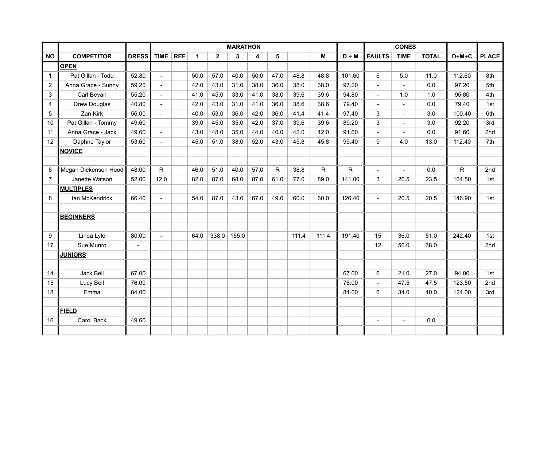|                |                      |              | <b>MARATHON</b> |  |             |              |       |      | <b>CONES</b> |       |              |              |                          |                |              |              |              |
|----------------|----------------------|--------------|-----------------|--|-------------|--------------|-------|------|--------------|-------|--------------|--------------|--------------------------|----------------|--------------|--------------|--------------|
| <b>NO</b>      | <b>COMPETITOR</b>    | <b>DRESS</b> | TIME $ REF$     |  | $\mathbf 1$ | $\mathbf{2}$ | 3     | 4    | 5            |       | M            | $D + M$      | <b>FAULTS</b>            | <b>TIME</b>    | <b>TOTAL</b> | $D+M+C$      | <b>PLACE</b> |
|                | <b>OPEN</b>          |              |                 |  |             |              |       |      |              |       |              |              |                          |                |              |              |              |
| 1              | Pat Gillan - Todd    | 52.80        | $\overline{a}$  |  | 50.0        | 57.0         | 40.0  | 50.0 | 47.0         | 48.8  | 48.8         | 101.60       | $6\phantom{1}$           | 5.0            | 11.0         | 112.60       | 8th          |
| $\overline{2}$ | Anna Grace - Sunny   | 59.20        | $\overline{a}$  |  | 42.0        | 43.0         | 31.0  | 38.0 | 36.0         | 38.0  | 38.0         | 97.20        | $\overline{\phantom{a}}$ |                | 0.0          | 97.20        | 5th          |
| 3              | Carl Bevan           | 55.20        | ÷.              |  | 41.0        | 45.0         | 33.0  | 41.0 | 38.0         | 39.6  | 39.6         | 94.80        | $\blacksquare$           | 1.0            | 1.0          | 95.80        | 4th          |
| 4              | Drew Douglas         | 40.80        |                 |  | 42.0        | 43.0         | 31.0  | 41.0 | 36.0         | 38.6  | 38.6         | 79.40        |                          |                | 0.0          | 79.40        | 1st          |
| 5              | Zan Kirk             | 56.00        | $\overline{a}$  |  | 40.0        | 53.0         | 36.0  | 42.0 | 36.0         | 41.4  | 41.4         | 97.40        | 3                        | $\blacksquare$ | 3.0          | 100.40       | 6th          |
| 10             | Pat Gillan - Tommy   | 49.60        |                 |  | 39.0        | 45.0         | 35.0  | 42.0 | 37.0         | 39.6  | 39.6         | 89.20        | $\mathbf{3}$             | $\sim$         | 3.0          | 92.20        | 3rd          |
| 11             | Anna Grace - Jack    | 49.60        | $\mathbf{u}$    |  | 43.0        | 48.0         | 35.0  | 44.0 | 40.0         | 42.0  | 42.0         | 91.60        | $\blacksquare$           | $\overline{a}$ | 0.0          | 91.60        | 2nd          |
| 12             | Daphne Taylor        | 53.60        | $\blacksquare$  |  | 45.0        | 51.0         | 38.0  | 52.0 | 43.0         | 45.8  | 45.8         | 99.40        | 9                        | 4.0            | 13.0         | 112.40       | 7th          |
|                | <b>NOVICE</b>        |              |                 |  |             |              |       |      |              |       |              |              |                          |                |              |              |              |
|                |                      |              |                 |  |             |              |       |      |              |       |              |              |                          |                |              |              |              |
| 6              | Megan Dickenson Hood | 48.00        | $\mathsf{R}$    |  | 46.0        | 51.0         | 40.0  | 57.0 | $\mathsf{R}$ | 38.8  | $\mathsf{R}$ | $\mathsf{R}$ | $\blacksquare$           | $\sim$         | 0.0          | $\mathsf{R}$ | 2nd          |
| $\overline{7}$ | Janette Watson       | 52.00        | 12.0            |  | 82.0        | 87.0         | 68.0  | 87.0 | 61.0         | 77.0  | 89.0         | 141.00       | 3                        | 20.5           | 23.5         | 164.50       | 1st          |
|                | <b>MULTIPLES</b>     |              |                 |  |             |              |       |      |              |       |              |              |                          |                |              |              |              |
| 8              | Ian McKendrick       | 66.40        |                 |  | 54.0        | 87.0         | 43.0  | 67.0 | 49.0         | 60.0  | 60.0         | 126.40       | $\overline{a}$           | 20.5           | 20.5         | 146.90       | 1st          |
|                |                      |              |                 |  |             |              |       |      |              |       |              |              |                          |                |              |              |              |
|                | <b>BEGINNERS</b>     |              |                 |  |             |              |       |      |              |       |              |              |                          |                |              |              |              |
|                |                      |              |                 |  |             |              |       |      |              |       |              |              |                          |                |              |              |              |
| 9              | Linda Lyle           | 80.00        | $\blacksquare$  |  | 64.0        | 338.0        | 155.0 |      |              | 111.4 | 111.4        | 191.40       | 15                       | 36.0           | 51.0         | 242.40       | 1st          |
| 17             | Sue Munro            |              |                 |  |             |              |       |      |              |       |              |              | 12                       | 56.0           | 68.0         |              | 2nd          |
|                | <b>JUNIORS</b>       |              |                 |  |             |              |       |      |              |       |              |              |                          |                |              |              |              |
|                |                      |              |                 |  |             |              |       |      |              |       |              |              |                          |                |              |              |              |
| 14             | Jack Bell            | 67.00        |                 |  |             |              |       |      |              |       |              | 67.00        | $6\phantom{1}$           | 21.0           | 27.0         | 94.00        | 1st          |
| 15             | Lucy Bell            | 76.00        |                 |  |             |              |       |      |              |       |              | 76.00        | $\blacksquare$           | 47.5           | 47.5         | 123.50       | 2nd          |
| 18             | Emma                 | 84.00        |                 |  |             |              |       |      |              |       |              | 84.00        | 6                        | 34.0           | 40.0         | 124.00       | 3rd          |
|                |                      |              |                 |  |             |              |       |      |              |       |              |              |                          |                |              |              |              |
|                | <b>FIELD</b>         |              |                 |  |             |              |       |      |              |       |              |              |                          |                |              |              |              |
| 16             | Carol Back           | 49.60        |                 |  |             |              |       |      |              |       |              |              |                          |                | 0.0          |              |              |
|                |                      |              |                 |  |             |              |       |      |              |       |              |              |                          |                |              |              |              |